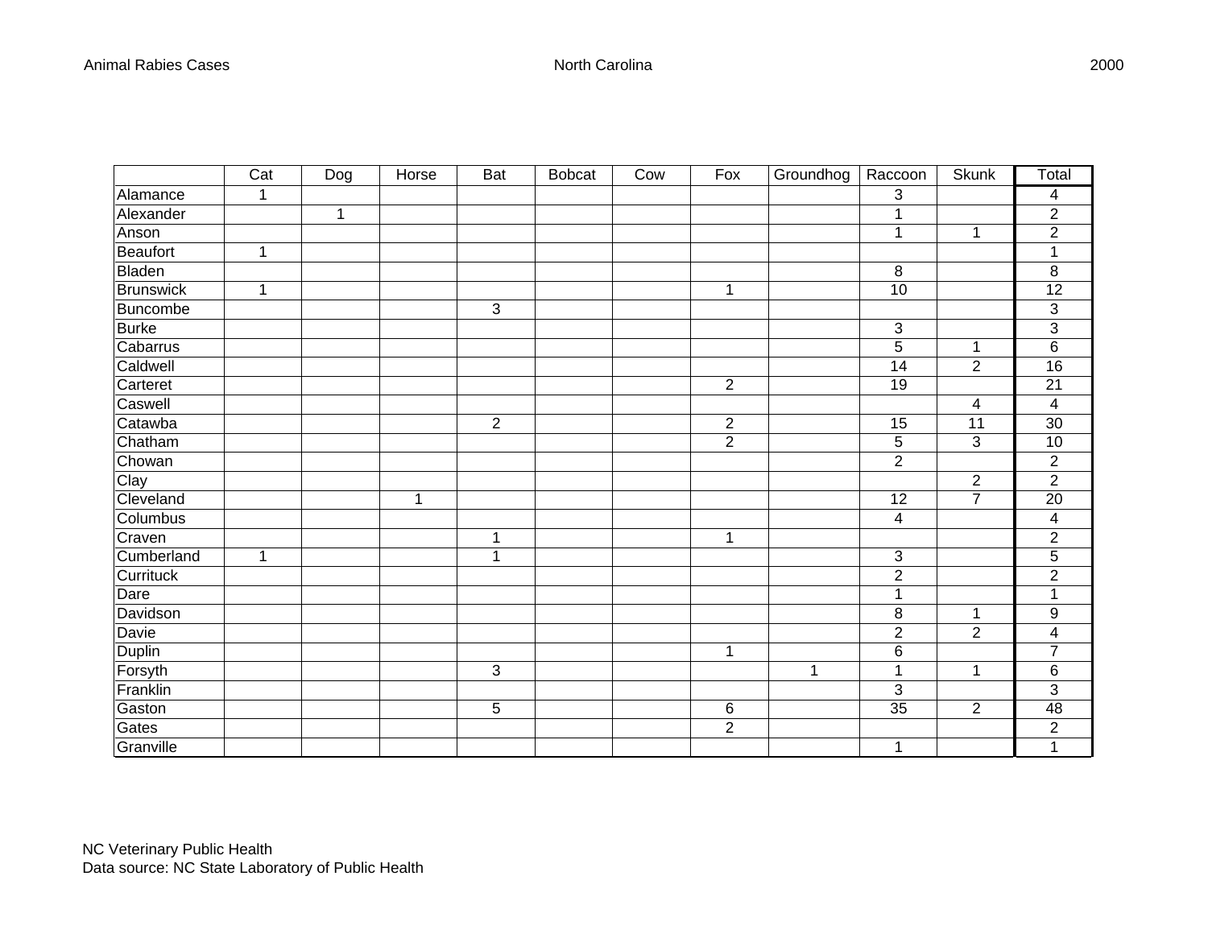|                  | Cat          | $\overline{D}$ og | Horse       | <b>Bat</b>     | <b>Bobcat</b> | Cow | Fox            | Groundhog    | Raccoon                 | <b>Skunk</b>   | Total                     |
|------------------|--------------|-------------------|-------------|----------------|---------------|-----|----------------|--------------|-------------------------|----------------|---------------------------|
| Alamance         | $\mathbf{1}$ |                   |             |                |               |     |                |              | 3                       |                | 4                         |
| Alexander        |              | $\overline{1}$    |             |                |               |     |                |              | 1                       |                | $\overline{c}$            |
| Anson            |              |                   |             |                |               |     |                |              | 1                       | $\mathbf{1}$   | $\overline{2}$            |
| Beaufort         | 1            |                   |             |                |               |     |                |              |                         |                | 1                         |
| Bladen           |              |                   |             |                |               |     |                |              | 8                       |                | 8                         |
| <b>Brunswick</b> | 1            |                   |             |                |               |     | $\mathbf 1$    |              | 10                      |                | 12                        |
| Buncombe         |              |                   |             | 3              |               |     |                |              |                         |                | $\ensuremath{\mathsf{3}}$ |
| <b>Burke</b>     |              |                   |             |                |               |     |                |              | 3                       |                | 3                         |
| Cabarrus         |              |                   |             |                |               |     |                |              | 5                       | 1              | $\overline{6}$            |
| Caldwell         |              |                   |             |                |               |     |                |              | 14                      | $\overline{2}$ | 16                        |
| Carteret         |              |                   |             |                |               |     | $\overline{2}$ |              | 19                      |                | 21                        |
| Caswell          |              |                   |             |                |               |     |                |              |                         | 4              | $\overline{4}$            |
| Catawba          |              |                   |             | $\overline{2}$ |               |     | $\overline{c}$ |              | 15                      | 11             | 30                        |
| Chatham          |              |                   |             |                |               |     | $\overline{2}$ |              | 5                       | 3              | 10                        |
| Chowan           |              |                   |             |                |               |     |                |              | $\overline{2}$          |                | $\overline{2}$            |
| Clay             |              |                   |             |                |               |     |                |              |                         | $\overline{2}$ | $\overline{2}$            |
| Cleveland        |              |                   | $\mathbf 1$ |                |               |     |                |              | 12                      | $\overline{7}$ | $\overline{20}$           |
| Columbus         |              |                   |             |                |               |     |                |              | $\overline{\mathbf{4}}$ |                | $\overline{\mathbf{4}}$   |
| Craven           |              |                   |             | $\mathbf 1$    |               |     | 1              |              |                         |                | $\overline{2}$            |
| Cumberland       | $\mathbf{1}$ |                   |             | $\mathbf 1$    |               |     |                |              | 3                       |                | $\overline{5}$            |
| Currituck        |              |                   |             |                |               |     |                |              | $\overline{2}$          |                | $\overline{2}$            |
| Dare             |              |                   |             |                |               |     |                |              | 1                       |                | 1                         |
| Davidson         |              |                   |             |                |               |     |                |              | $\bf 8$                 | $\mathbf 1$    | $\boldsymbol{9}$          |
| Davie            |              |                   |             |                |               |     |                |              | $\overline{c}$          | $\overline{2}$ | $\overline{\mathbf{4}}$   |
| Duplin           |              |                   |             |                |               |     | $\mathbf 1$    |              | $\,6$                   |                | $\overline{7}$            |
| Forsyth          |              |                   |             | 3              |               |     |                | $\mathbf{1}$ | 1                       | $\mathbf{1}$   | $\,6$                     |
| Franklin         |              |                   |             |                |               |     |                |              | 3                       |                | 3                         |
| Gaston           |              |                   |             | 5              |               |     | 6              |              | 35                      | $\overline{2}$ | 48                        |
| Gates            |              |                   |             |                |               |     | $\overline{c}$ |              |                         |                | $\overline{c}$            |
| Granville        |              |                   |             |                |               |     |                |              | 1                       |                | $\overline{1}$            |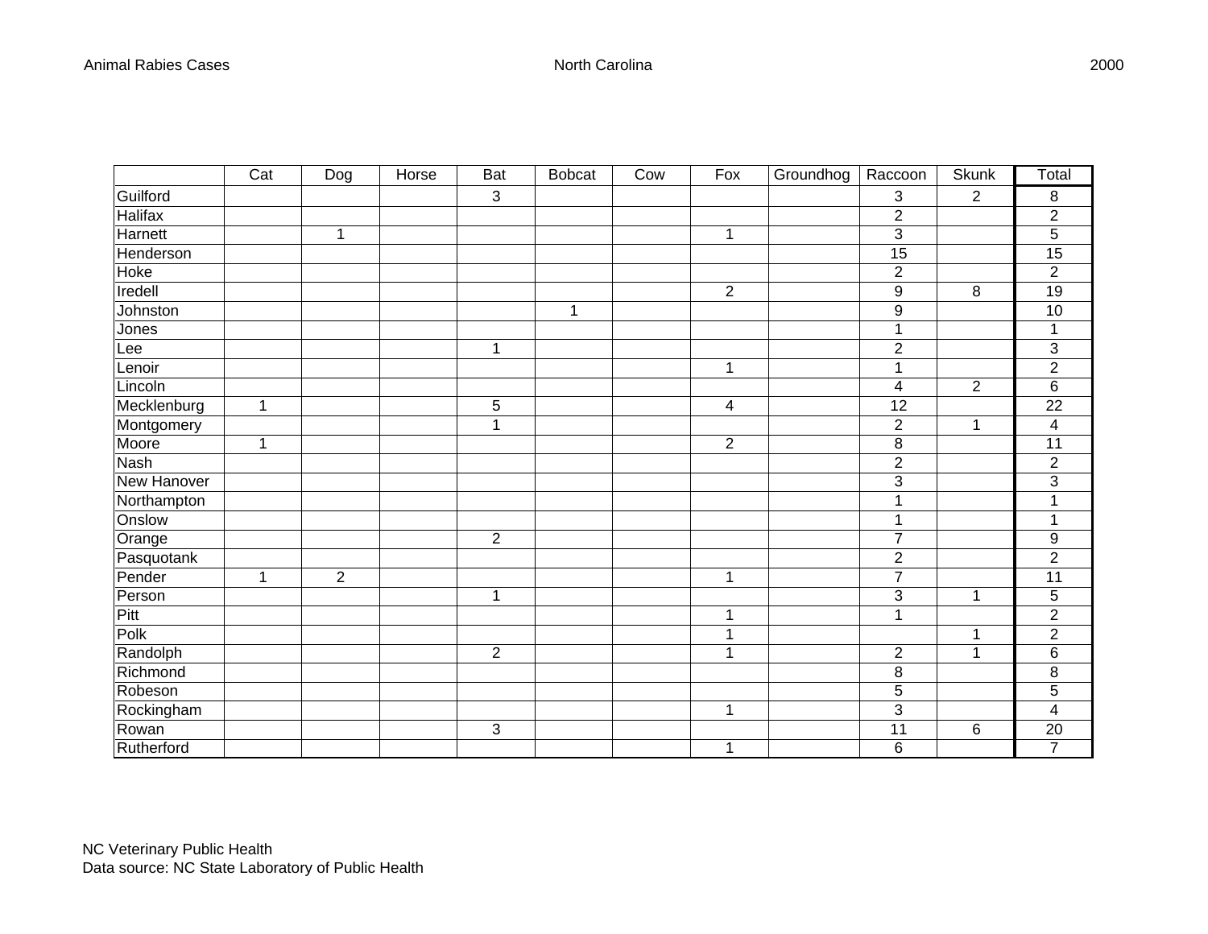|                | Cat | Dog            | Horse | <b>Bat</b>     | <b>Bobcat</b> | Cow | Fox              | Groundhog | Raccoon          | <b>Skunk</b>   | Total            |
|----------------|-----|----------------|-------|----------------|---------------|-----|------------------|-----------|------------------|----------------|------------------|
| Guilford       |     |                |       | 3              |               |     |                  |           | 3                | $\overline{2}$ | 8                |
| <b>Halifax</b> |     |                |       |                |               |     |                  |           | 2                |                | $\overline{2}$   |
| Harnett        |     | 1              |       |                |               |     | 1                |           | 3                |                | 5                |
| Henderson      |     |                |       |                |               |     |                  |           | 15               |                | 15               |
| Hoke           |     |                |       |                |               |     |                  |           | $\overline{2}$   |                | $\overline{2}$   |
| Iredell        |     |                |       |                |               |     | $\boldsymbol{2}$ |           | $\boldsymbol{9}$ | 8              | 19               |
| Johnston       |     |                |       |                | 1             |     |                  |           | $\boldsymbol{9}$ |                | 10               |
| Jones          |     |                |       |                |               |     |                  |           | 1                |                | 1                |
| Lee            |     |                |       | 1              |               |     |                  |           | $\overline{2}$   |                | 3                |
| Lenoir         |     |                |       |                |               |     | $\mathbf 1$      |           | 1                |                | $\overline{2}$   |
| Lincoln        |     |                |       |                |               |     |                  |           | 4                | $\overline{2}$ | $\overline{6}$   |
| Mecklenburg    | 1   |                |       | 5              |               |     | 4                |           | 12               |                | 22               |
| Montgomery     |     |                |       | $\mathbf{1}$   |               |     |                  |           | $\overline{2}$   | $\mathbf{1}$   | 4                |
| Moore          | 1   |                |       |                |               |     | $\overline{2}$   |           | 8                |                | 11               |
| <b>Nash</b>    |     |                |       |                |               |     |                  |           | $\overline{2}$   |                | $\overline{2}$   |
| New Hanover    |     |                |       |                |               |     |                  |           | 3                |                | $\overline{3}$   |
| Northampton    |     |                |       |                |               |     |                  |           | 1                |                | 1                |
| Onslow         |     |                |       |                |               |     |                  |           | 1                |                | $\mathbf 1$      |
| Orange         |     |                |       | $\overline{2}$ |               |     |                  |           | 7                |                | $\boldsymbol{9}$ |
| Pasquotank     |     |                |       |                |               |     |                  |           | $\overline{2}$   |                | $\overline{2}$   |
| Pender         | 1   | $\overline{2}$ |       |                |               |     | 1                |           | $\overline{7}$   |                | 11               |
| Person         |     |                |       | 1              |               |     |                  |           | 3                | 1              | 5                |
| Pitt           |     |                |       |                |               |     | 1                |           | 1                |                | $\overline{2}$   |
| Polk           |     |                |       |                |               |     |                  |           |                  | 1              | $\overline{2}$   |
| Randolph       |     |                |       | $\overline{2}$ |               |     | 1                |           | $\boldsymbol{2}$ | 1              | $\,6$            |
| Richmond       |     |                |       |                |               |     |                  |           | 8                |                | 8                |
| Robeson        |     |                |       |                |               |     |                  |           | 5                |                | 5                |
| Rockingham     |     |                |       |                |               |     | 1                |           | 3                |                | 4                |
| Rowan          |     |                |       | 3              |               |     |                  |           | 11               | $\,6$          | $\overline{20}$  |
| Rutherford     |     |                |       |                |               |     | 1                |           | 6                |                | $\overline{7}$   |